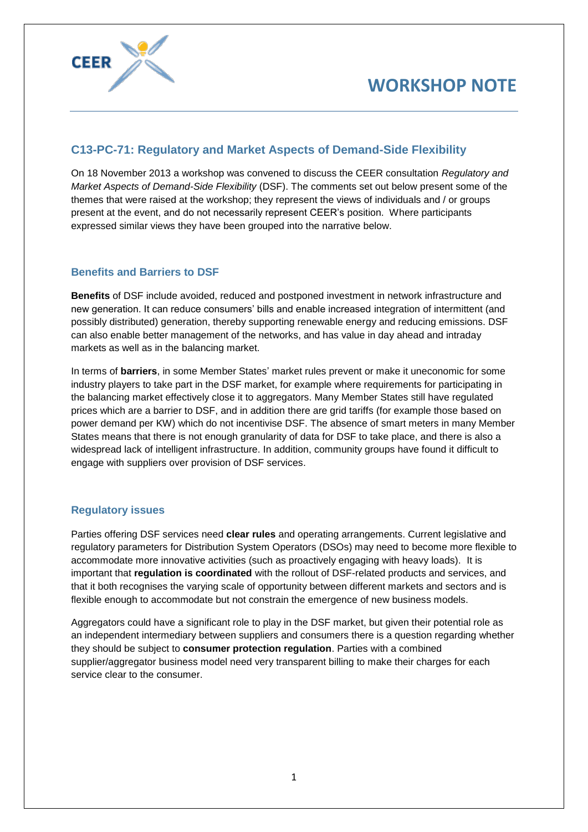

## **C13-PC-71: Regulatory and Market Aspects of Demand-Side Flexibility**

On 18 November 2013 a workshop was convened to discuss the CEER consultation *Regulatory and Market Aspects of Demand-Side Flexibility* (DSF). The comments set out below present some of the themes that were raised at the workshop; they represent the views of individuals and / or groups present at the event, and do not necessarily represent CEER's position. Where participants expressed similar views they have been grouped into the narrative below.

## **Benefits and Barriers to DSF**

**Benefits** of DSF include avoided, reduced and postponed investment in network infrastructure and new generation. It can reduce consumers' bills and enable increased integration of intermittent (and possibly distributed) generation, thereby supporting renewable energy and reducing emissions. DSF can also enable better management of the networks, and has value in day ahead and intraday markets as well as in the balancing market.

In terms of **barriers**, in some Member States' market rules prevent or make it uneconomic for some industry players to take part in the DSF market, for example where requirements for participating in the balancing market effectively close it to aggregators. Many Member States still have regulated prices which are a barrier to DSF, and in addition there are grid tariffs (for example those based on power demand per KW) which do not incentivise DSF. The absence of smart meters in many Member States means that there is not enough granularity of data for DSF to take place, and there is also a widespread lack of intelligent infrastructure. In addition, community groups have found it difficult to engage with suppliers over provision of DSF services.

### **Regulatory issues**

Parties offering DSF services need **clear rules** and operating arrangements. Current legislative and regulatory parameters for Distribution System Operators (DSOs) may need to become more flexible to accommodate more innovative activities (such as proactively engaging with heavy loads). It is important that **regulation is coordinated** with the rollout of DSF-related products and services, and that it both recognises the varying scale of opportunity between different markets and sectors and is flexible enough to accommodate but not constrain the emergence of new business models.

Aggregators could have a significant role to play in the DSF market, but given their potential role as an independent intermediary between suppliers and consumers there is a question regarding whether they should be subject to **consumer protection regulation**. Parties with a combined supplier/aggregator business model need very transparent billing to make their charges for each service clear to the consumer.